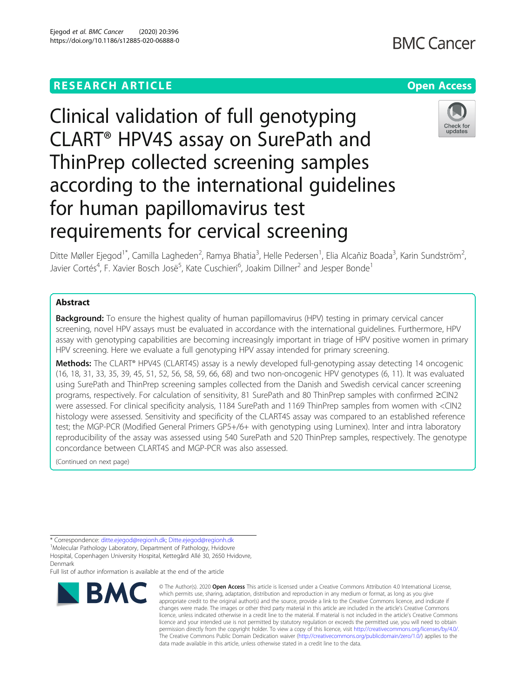## **RESEARCH ARTICLE Example 2014 12:30 The Contract of Contract ACCESS**

# **BMC Cancer**



Clinical validation of full genotyping CLART® HPV4S assay on SurePath and ThinPrep collected screening samples according to the international guidelines for human papillomavirus test requirements for cervical screening

Ditte Møller Ejegod<sup>1\*</sup>, Camilla Lagheden<sup>2</sup>, Ramya Bhatia<sup>3</sup>, Helle Pedersen<sup>1</sup>, Elia Alcañiz Boada<sup>3</sup>, Karin Sundström<sup>2</sup> , Javier Cortés<sup>4</sup>, F. Xavier Bosch Josë<sup>5</sup>, Kate Cuschieri<sup>6</sup>, Joakim Dillner<sup>2</sup> and Jesper Bonde<sup>1</sup>

### Abstract

**Background:** To ensure the highest quality of human papillomavirus (HPV) testing in primary cervical cancer screening, novel HPV assays must be evaluated in accordance with the international guidelines. Furthermore, HPV assay with genotyping capabilities are becoming increasingly important in triage of HPV positive women in primary HPV screening. Here we evaluate a full genotyping HPV assay intended for primary screening.

Methods: The CLART® HPV4S (CLART4S) assay is a newly developed full-genotyping assay detecting 14 oncogenic (16, 18, 31, 33, 35, 39, 45, 51, 52, 56, 58, 59, 66, 68) and two non-oncogenic HPV genotypes (6, 11). It was evaluated using SurePath and ThinPrep screening samples collected from the Danish and Swedish cervical cancer screening programs, respectively. For calculation of sensitivity, 81 SurePath and 80 ThinPrep samples with confirmed ≥CIN2 were assessed. For clinical specificity analysis, 1184 SurePath and 1169 ThinPrep samples from women with <CIN2 histology were assessed. Sensitivity and specificity of the CLART4S assay was compared to an established reference test; the MGP-PCR (Modified General Primers GP5+/6+ with genotyping using Luminex). Inter and intra laboratory reproducibility of the assay was assessed using 540 SurePath and 520 ThinPrep samples, respectively. The genotype concordance between CLART4S and MGP-PCR was also assessed.

(Continued on next page)

Molecular Pathology Laboratory, Department of Pathology, Hvidovre

Full list of author information is available at the end of the article



<sup>©</sup> The Author(s), 2020 **Open Access** This article is licensed under a Creative Commons Attribution 4.0 International License, which permits use, sharing, adaptation, distribution and reproduction in any medium or format, as long as you give appropriate credit to the original author(s) and the source, provide a link to the Creative Commons licence, and indicate if changes were made. The images or other third party material in this article are included in the article's Creative Commons licence, unless indicated otherwise in a credit line to the material. If material is not included in the article's Creative Commons licence and your intended use is not permitted by statutory regulation or exceeds the permitted use, you will need to obtain permission directly from the copyright holder. To view a copy of this licence, visit [http://creativecommons.org/licenses/by/4.0/.](http://creativecommons.org/licenses/by/4.0/) The Creative Commons Public Domain Dedication waiver [\(http://creativecommons.org/publicdomain/zero/1.0/](http://creativecommons.org/publicdomain/zero/1.0/)) applies to the data made available in this article, unless otherwise stated in a credit line to the data.

<sup>\*</sup> Correspondence: [ditte.ejegod@regionh.dk;](mailto:ditte.ejegod@regionh.dk) [Ditte.ejegod@regionh.dk](mailto:Ditte.ejegod@regionh.dk) <sup>1</sup>

Hospital, Copenhagen University Hospital, Kettegård Allé 30, 2650 Hvidovre, Denmark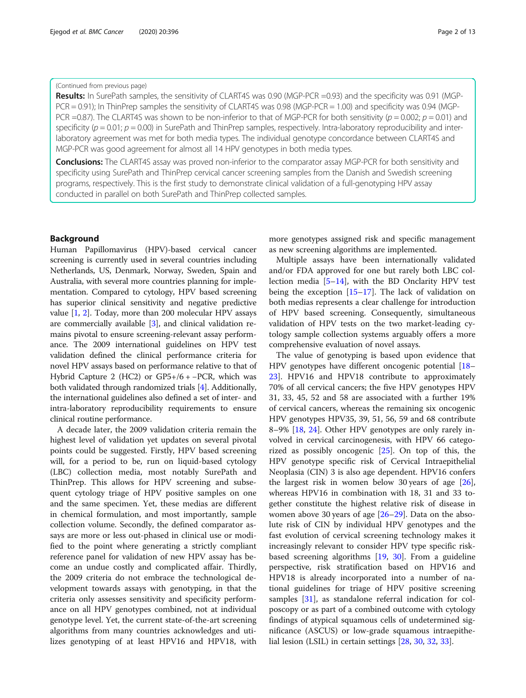#### (Continued from previous page)

Results: In SurePath samples, the sensitivity of CLART4S was 0.90 (MGP-PCR =0.93) and the specificity was 0.91 (MGP-PCR = 0.91); In ThinPrep samples the sensitivity of CLART4S was 0.98 (MGP-PCR = 1.00) and specificity was 0.94 (MGP-PCR =0.87). The CLART4S was shown to be non-inferior to that of MGP-PCR for both sensitivity ( $p = 0.002$ ;  $p = 0.01$ ) and specificity ( $p = 0.01$ ;  $p = 0.00$ ) in SurePath and ThinPrep samples, respectively. Intra-laboratory reproducibility and interlaboratory agreement was met for both media types. The individual genotype concordance between CLART4S and MGP-PCR was good agreement for almost all 14 HPV genotypes in both media types.

**Conclusions:** The CLART4S assay was proved non-inferior to the comparator assay MGP-PCR for both sensitivity and specificity using SurePath and ThinPrep cervical cancer screening samples from the Danish and Swedish screening programs, respectively. This is the first study to demonstrate clinical validation of a full-genotyping HPV assay conducted in parallel on both SurePath and ThinPrep collected samples.

#### Background

Human Papillomavirus (HPV)-based cervical cancer screening is currently used in several countries including Netherlands, US, Denmark, Norway, Sweden, Spain and Australia, with several more countries planning for implementation. Compared to cytology, HPV based screening has superior clinical sensitivity and negative predictive value [[1,](#page-11-0) [2\]](#page-11-0). Today, more than 200 molecular HPV assays are commercially available [[3](#page-11-0)], and clinical validation remains pivotal to ensure screening-relevant assay performance. The 2009 international guidelines on HPV test validation defined the clinical performance criteria for novel HPV assays based on performance relative to that of Hybrid Capture 2 (HC2) or GP5+/6 + −PCR, which was both validated through randomized trials [[4](#page-11-0)]. Additionally, the international guidelines also defined a set of inter- and intra-laboratory reproducibility requirements to ensure clinical routine performance.

A decade later, the 2009 validation criteria remain the highest level of validation yet updates on several pivotal points could be suggested. Firstly, HPV based screening will, for a period to be, run on liquid-based cytology (LBC) collection media, most notably SurePath and ThinPrep. This allows for HPV screening and subsequent cytology triage of HPV positive samples on one and the same specimen. Yet, these medias are different in chemical formulation, and most importantly, sample collection volume. Secondly, the defined comparator assays are more or less out-phased in clinical use or modified to the point where generating a strictly compliant reference panel for validation of new HPV assay has become an undue costly and complicated affair. Thirdly, the 2009 criteria do not embrace the technological development towards assays with genotyping, in that the criteria only assesses sensitivity and specificity performance on all HPV genotypes combined, not at individual genotype level. Yet, the current state-of-the-art screening algorithms from many countries acknowledges and utilizes genotyping of at least HPV16 and HPV18, with

more genotypes assigned risk and specific management as new screening algorithms are implemented.

Multiple assays have been internationally validated and/or FDA approved for one but rarely both LBC collection media [\[5](#page-11-0)–[14\]](#page-12-0), with the BD Onclarity HPV test being the exception [\[15](#page-12-0)–[17\]](#page-12-0). The lack of validation on both medias represents a clear challenge for introduction of HPV based screening. Consequently, simultaneous validation of HPV tests on the two market-leading cytology sample collection systems arguably offers a more comprehensive evaluation of novel assays.

The value of genotyping is based upon evidence that HPV genotypes have different oncogenic potential [[18](#page-12-0)– [23\]](#page-12-0). HPV16 and HPV18 contribute to approximately 70% of all cervical cancers; the five HPV genotypes HPV 31, 33, 45, 52 and 58 are associated with a further 19% of cervical cancers, whereas the remaining six oncogenic HPV genotypes HPV35, 39, 51, 56, 59 and 68 contribute 8–9% [\[18,](#page-12-0) [24](#page-12-0)]. Other HPV genotypes are only rarely involved in cervical carcinogenesis, with HPV 66 categorized as possibly oncogenic [[25\]](#page-12-0). On top of this, the HPV genotype specific risk of Cervical Intraepithelial Neoplasia (CIN) 3 is also age dependent. HPV16 confers the largest risk in women below 30 years of age [\[26](#page-12-0)], whereas HPV16 in combination with 18, 31 and 33 together constitute the highest relative risk of disease in women above 30 years of age [[26](#page-12-0)–[29](#page-12-0)]. Data on the absolute risk of CIN by individual HPV genotypes and the fast evolution of cervical screening technology makes it increasingly relevant to consider HPV type specific riskbased screening algorithms [[19,](#page-12-0) [30\]](#page-12-0). From a guideline perspective, risk stratification based on HPV16 and HPV18 is already incorporated into a number of national guidelines for triage of HPV positive screening samples [[31\]](#page-12-0), as standalone referral indication for colposcopy or as part of a combined outcome with cytology findings of atypical squamous cells of undetermined significance (ASCUS) or low-grade squamous intraepithelial lesion (LSIL) in certain settings [\[28,](#page-12-0) [30,](#page-12-0) [32,](#page-12-0) [33\]](#page-12-0).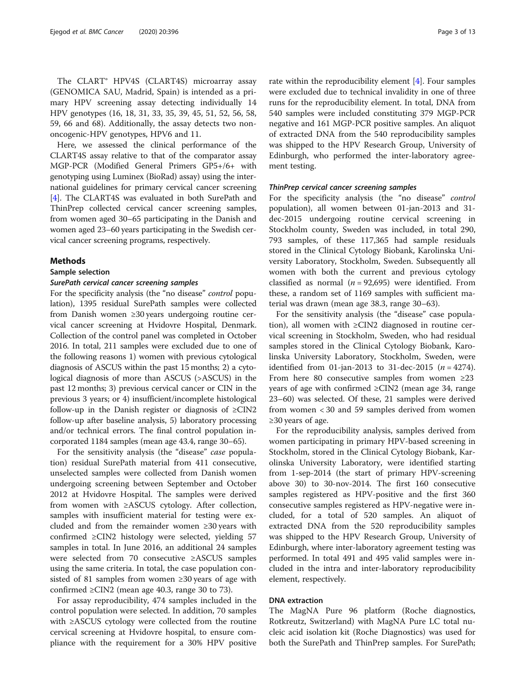The CLART® HPV4S (CLART4S) microarray assay (GENOMICA SAU, Madrid, Spain) is intended as a primary HPV screening assay detecting individually 14 HPV genotypes (16, 18, 31, 33, 35, 39, 45, 51, 52, 56, 58, 59, 66 and 68). Additionally, the assay detects two nononcogenic-HPV genotypes, HPV6 and 11.

Here, we assessed the clinical performance of the CLART4S assay relative to that of the comparator assay MGP-PCR (Modified General Primers GP5+/6+ with genotyping using Luminex (BioRad) assay) using the international guidelines for primary cervical cancer screening [[4\]](#page-11-0). The CLART4S was evaluated in both SurePath and ThinPrep collected cervical cancer screening samples, from women aged 30–65 participating in the Danish and women aged 23–60 years participating in the Swedish cervical cancer screening programs, respectively.

#### Methods

#### Sample selection

#### SurePath cervical cancer screening samples

For the specificity analysis (the "no disease" control population), 1395 residual SurePath samples were collected from Danish women ≥30 years undergoing routine cervical cancer screening at Hvidovre Hospital, Denmark. Collection of the control panel was completed in October 2016. In total, 211 samples were excluded due to one of the following reasons 1) women with previous cytological diagnosis of ASCUS within the past 15 months; 2) a cytological diagnosis of more than ASCUS (>ASCUS) in the past 12 months; 3) previous cervical cancer or CIN in the previous 3 years; or 4) insufficient/incomplete histological follow-up in the Danish register or diagnosis of ≥CIN2 follow-up after baseline analysis, 5) laboratory processing and/or technical errors. The final control population incorporated 1184 samples (mean age 43.4, range 30–65).

For the sensitivity analysis (the "disease" case population) residual SurePath material from 411 consecutive, unselected samples were collected from Danish women undergoing screening between September and October 2012 at Hvidovre Hospital. The samples were derived from women with ≥ASCUS cytology. After collection, samples with insufficient material for testing were excluded and from the remainder women ≥30 years with confirmed  $\geq CN2$  histology were selected, yielding 57 samples in total. In June 2016, an additional 24 samples were selected from 70 consecutive ≥ASCUS samples using the same criteria. In total, the case population consisted of 81 samples from women ≥30 years of age with confirmed ≥CIN2 (mean age 40.3, range 30 to 73).

For assay reproducibility, 474 samples included in the control population were selected. In addition, 70 samples with ≥ASCUS cytology were collected from the routine cervical screening at Hvidovre hospital, to ensure compliance with the requirement for a 30% HPV positive

rate within the reproducibility element [\[4](#page-11-0)]. Four samples were excluded due to technical invalidity in one of three runs for the reproducibility element. In total, DNA from 540 samples were included constituting 379 MGP-PCR negative and 161 MGP-PCR positive samples. An aliquot of extracted DNA from the 540 reproducibility samples was shipped to the HPV Research Group, University of Edinburgh, who performed the inter-laboratory agreement testing.

#### ThinPrep cervical cancer screening samples

For the specificity analysis (the "no disease" control population), all women between 01-jan-2013 and 31 dec-2015 undergoing routine cervical screening in Stockholm county, Sweden was included, in total 290, 793 samples, of these 117,365 had sample residuals stored in the Clinical Cytology Biobank, Karolinska University Laboratory, Stockholm, Sweden. Subsequently all women with both the current and previous cytology classified as normal  $(n = 92,695)$  were identified. From these, a random set of 1169 samples with sufficient material was drawn (mean age 38.3, range 30–63).

For the sensitivity analysis (the "disease" case population), all women with ≥CIN2 diagnosed in routine cervical screening in Stockholm, Sweden, who had residual samples stored in the Clinical Cytology Biobank, Karolinska University Laboratory, Stockholm, Sweden, were identified from 01-jan-2013 to 31-dec-2015 ( $n = 4274$ ). From here 80 consecutive samples from women ≥23 years of age with confirmed ≥CIN2 (mean age 34, range 23–60) was selected. Of these, 21 samples were derived from women < 30 and 59 samples derived from women  $≥30$  years of age.

For the reproducibility analysis, samples derived from women participating in primary HPV-based screening in Stockholm, stored in the Clinical Cytology Biobank, Karolinska University Laboratory, were identified starting from 1-sep-2014 (the start of primary HPV-screening above 30) to 30-nov-2014. The first 160 consecutive samples registered as HPV-positive and the first 360 consecutive samples registered as HPV-negative were included, for a total of 520 samples. An aliquot of extracted DNA from the 520 reproducibility samples was shipped to the HPV Research Group, University of Edinburgh, where inter-laboratory agreement testing was performed. In total 491 and 495 valid samples were included in the intra and inter-laboratory reproducibility element, respectively.

#### DNA extraction

The MagNA Pure 96 platform (Roche diagnostics, Rotkreutz, Switzerland) with MagNA Pure LC total nucleic acid isolation kit (Roche Diagnostics) was used for both the SurePath and ThinPrep samples. For SurePath;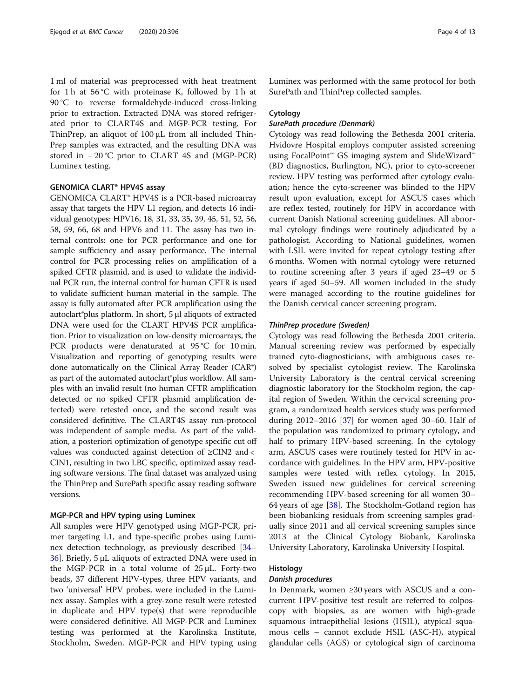1 ml of material was preprocessed with heat treatment for 1 h at 56 °C with proteinase K, followed by 1 h at 90 °C to reverse formaldehyde-induced cross-linking prior to extraction. Extracted DNA was stored refrigerated prior to CLART4S and MGP-PCR testing. For ThinPrep, an aliquot of 100 μL from all included Thin-Prep samples was extracted, and the resulting DNA was stored in − 20 °C prior to CLART 4S and (MGP-PCR) Luminex testing.

#### GENOMICA CLART® HPV4S assay

GENOMICA CLART® HPV4S is a PCR-based microarray assay that targets the HPV L1 region, and detects 16 individual genotypes: HPV16, 18, 31, 33, 35, 39, 45, 51, 52, 56, 58, 59, 66, 68 and HPV6 and 11. The assay has two internal controls: one for PCR performance and one for sample sufficiency and assay performance. The internal control for PCR processing relies on amplification of a spiked CFTR plasmid, and is used to validate the individual PCR run, the internal control for human CFTR is used to validate sufficient human material in the sample. The assay is fully automated after PCR amplification using the autoclart®plus platform. In short, 5 μl aliquots of extracted DNA were used for the CLART HPV4S PCR amplification. Prior to visualization on low-density microarrays, the PCR products were denaturated at 95 °C for 10 min. Visualization and reporting of genotyping results were done automatically on the Clinical Array Reader (CAR®) as part of the automated autoclart®plus workflow. All samples with an invalid result (no human CFTR amplification detected or no spiked CFTR plasmid amplification detected) were retested once, and the second result was considered definitive. The CLART4S assay run-protocol was independent of sample media. As part of the validation, a posteriori optimization of genotype specific cut off values was conducted against detection of ≥CIN2 and < CIN1, resulting in two LBC specific, optimized assay reading software versions. The final dataset was analyzed using the ThinPrep and SurePath specific assay reading software versions.

#### MGP-PCR and HPV typing using Luminex

All samples were HPV genotyped using MGP-PCR, primer targeting L1, and type-specific probes using Luminex detection technology, as previously described [[34](#page-12-0)– [36\]](#page-12-0). Briefly, 5 μL aliquots of extracted DNA were used in the MGP-PCR in a total volume of 25 μL. Forty-two beads, 37 different HPV-types, three HPV variants, and two 'universal' HPV probes, were included in the Luminex assay. Samples with a grey-zone result were retested in duplicate and HPV type(s) that were reproducible were considered definitive. All MGP-PCR and Luminex testing was performed at the Karolinska Institute, Stockholm, Sweden. MGP-PCR and HPV typing using Luminex was performed with the same protocol for both SurePath and ThinPrep collected samples.

#### Cytology

#### SurePath procedure (Denmark)

Cytology was read following the Bethesda 2001 criteria. Hvidovre Hospital employs computer assisted screening using FocalPoint™ GS imaging system and SlideWizard™ (BD diagnostics, Burlington, NC), prior to cyto-screener review. HPV testing was performed after cytology evaluation; hence the cyto-screener was blinded to the HPV result upon evaluation, except for ASCUS cases which are reflex tested, routinely for HPV in accordance with current Danish National screening guidelines. All abnormal cytology findings were routinely adjudicated by a pathologist. According to National guidelines, women with LSIL were invited for repeat cytology testing after 6 months. Women with normal cytology were returned to routine screening after 3 years if aged 23–49 or 5 years if aged 50–59. All women included in the study were managed according to the routine guidelines for the Danish cervical cancer screening program.

#### ThinPrep procedure (Sweden)

Cytology was read following the Bethesda 2001 criteria. Manual screening review was performed by especially trained cyto-diagnosticians, with ambiguous cases resolved by specialist cytologist review. The Karolinska University Laboratory is the central cervical screening diagnostic laboratory for the Stockholm region, the capital region of Sweden. Within the cervical screening program, a randomized health services study was performed during  $2012-2016$  [\[37\]](#page-12-0) for women aged 30–60. Half of the population was randomized to primary cytology, and half to primary HPV-based screening. In the cytology arm, ASCUS cases were routinely tested for HPV in accordance with guidelines. In the HPV arm, HPV-positive samples were tested with reflex cytology. In 2015, Sweden issued new guidelines for cervical screening recommending HPV-based screening for all women 30– 64 years of age [[38\]](#page-12-0). The Stockholm-Gotland region has been biobanking residuals from screening samples gradually since 2011 and all cervical screening samples since 2013 at the Clinical Cytology Biobank, Karolinska University Laboratory, Karolinska University Hospital.

#### Histology

#### Danish procedures

In Denmark, women ≥30 years with ASCUS and a concurrent HPV-positive test result are referred to colposcopy with biopsies, as are women with high-grade squamous intraepithelial lesions (HSIL), atypical squamous cells – cannot exclude HSIL (ASC-H), atypical glandular cells (AGS) or cytological sign of carcinoma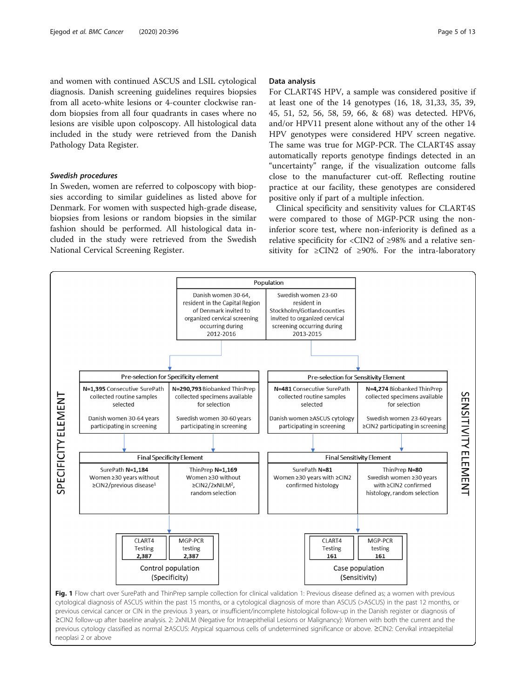<span id="page-4-0"></span>and women with continued ASCUS and LSIL cytological diagnosis. Danish screening guidelines requires biopsies from all aceto-white lesions or 4-counter clockwise random biopsies from all four quadrants in cases where no lesions are visible upon colposcopy. All histological data included in the study were retrieved from the Danish Pathology Data Register.

#### Swedish procedures

In Sweden, women are referred to colposcopy with biopsies according to similar guidelines as listed above for Denmark. For women with suspected high-grade disease, biopsies from lesions or random biopsies in the similar fashion should be performed. All histological data included in the study were retrieved from the Swedish National Cervical Screening Register.

#### Data analysis

For CLART4S HPV, a sample was considered positive if at least one of the 14 genotypes (16, 18, 31,33, 35, 39, 45, 51, 52, 56, 58, 59, 66, & 68) was detected. HPV6, and/or HPV11 present alone without any of the other 14 HPV genotypes were considered HPV screen negative. The same was true for MGP-PCR. The CLART4S assay automatically reports genotype findings detected in an "uncertainty" range, if the visualization outcome falls close to the manufacturer cut-off. Reflecting routine practice at our facility, these genotypes are considered positive only if part of a multiple infection.

Clinical specificity and sensitivity values for CLART4S were compared to those of MGP-PCR using the noninferior score test, where non-inferiority is defined as a relative specificity for <CIN2 of ≥98% and a relative sensitivity for  $\geq CN2$  of  $\geq 90\%$ . For the intra-laboratory



cytological diagnosis of ASCUS within the past 15 months, or a cytological diagnosis of more than ASCUS (>ASCUS) in the past 12 months, or previous cervical cancer or CIN in the previous 3 years, or insufficient/incomplete histological follow-up in the Danish register or diagnosis of ≥CIN2 follow-up after baseline analysis. 2: 2xNILM (Negative for Intraepithelial Lesions or Malignancy): Women with both the current and the previous cytology classified as normal ≥ASCUS: Atypical squamous cells of undetermined significance or above. ≥CIN2: Cervikal intraepitelial neoplasi 2 or above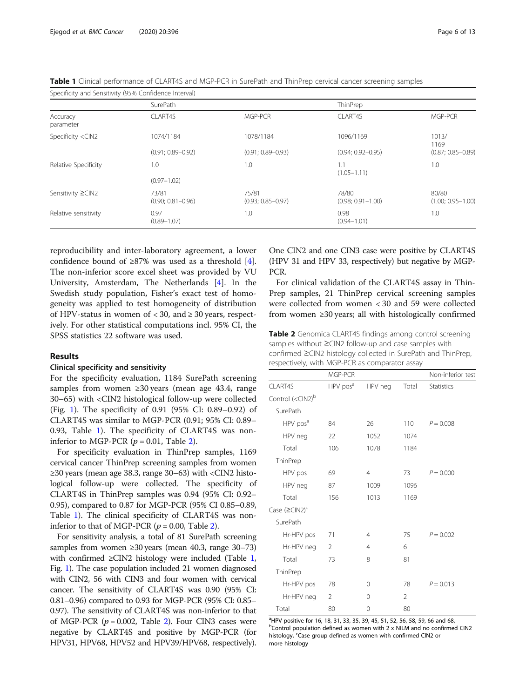<span id="page-5-0"></span>Table 1 Clinical performance of CLART4S and MGP-PCR in SurePath and ThinPrep cervical cancer screening samples

| Specificity and Sensitivity (95% Confidence Interval)                                                          |                                |                                |                                |                                |
|----------------------------------------------------------------------------------------------------------------|--------------------------------|--------------------------------|--------------------------------|--------------------------------|
|                                                                                                                | SurePath                       |                                | ThinPrep                       |                                |
| Accuracy<br>parameter                                                                                          | CLART4S                        | MGP-PCR                        | CLART4S                        | MGP-PCR                        |
| Specificity <cin2< td=""><td>1074/1184</td><td>1078/1184</td><td>1096/1169</td><td>1013/<br/>1169</td></cin2<> | 1074/1184                      | 1078/1184                      | 1096/1169                      | 1013/<br>1169                  |
|                                                                                                                | $(0.91; 0.89 - 0.92)$          | $(0.91; 0.89 - 0.93)$          | $(0.94; 0.92 - 0.95)$          | $(0.87; 0.85 - 0.89)$          |
| Relative Specificity                                                                                           | 1.0                            | 1.0                            | 1.1<br>$(1.05 - 1.11)$         | 1.0                            |
|                                                                                                                | $(0.97 - 1.02)$                |                                |                                |                                |
| Sensitivity ≥CIN2                                                                                              | 73/81<br>$(0.90; 0.81 - 0.96)$ | 75/81<br>$(0.93; 0.85 - 0.97)$ | 78/80<br>$(0.98; 0.91 - 1.00)$ | 80/80<br>$(1.00; 0.95 - 1.00)$ |
| Relative sensitivity                                                                                           | 0.97<br>$(0.89 - 1.07)$        | 1.0                            | 0.98<br>$(0.94 - 1.01)$        | 1.0                            |

reproducibility and inter-laboratory agreement, a lower confidence bound of  $\geq 87\%$  was used as a threshold [\[4](#page-11-0)]. The non-inferior score excel sheet was provided by VU University, Amsterdam, The Netherlands [[4\]](#page-11-0). In the Swedish study population, Fisher's exact test of homogeneity was applied to test homogeneity of distribution of HPV-status in women of  $<$  30, and  $\geq$  30 years, respectively. For other statistical computations incl. 95% CI, the SPSS statistics 22 software was used.

#### Results

#### Clinical specificity and sensitivity

For the specificity evaluation, 1184 SurePath screening samples from women  $\geq 30$  years (mean age 43.4, range 30–65) with <CIN2 histological follow-up were collected (Fig. [1\)](#page-4-0). The specificity of 0.91 (95% CI: 0.89–0.92) of CLART4S was similar to MGP-PCR (0.91; 95% CI: 0.89– 0.93, Table 1). The specificity of CLART4S was noninferior to MGP-PCR  $(p = 0.01,$  Table 2).

For specificity evaluation in ThinPrep samples, 1169 cervical cancer ThinPrep screening samples from women  $\geq$ 30 years (mean age 38.3, range 30–63) with <CIN2 histological follow-up were collected. The specificity of CLART4S in ThinPrep samples was 0.94 (95% CI: 0.92– 0.95), compared to 0.87 for MGP-PCR (95% CI 0.85–0.89, Table 1). The clinical specificity of CLART4S was noninferior to that of MGP-PCR ( $p = 0.00$ , Table 2).

For sensitivity analysis, a total of 81 SurePath screening samples from women  $\geq$ 30 years (mean 40.3, range 30–73) with confirmed  $\geq$ CIN2 histology were included (Table 1, Fig. [1](#page-4-0)). The case population included 21 women diagnosed with CIN2, 56 with CIN3 and four women with cervical cancer. The sensitivity of CLART4S was 0.90 (95% CI: 0.81–0.96) compared to 0.93 for MGP-PCR (95% CI: 0.85– 0.97). The sensitivity of CLART4S was non-inferior to that of MGP-PCR  $(p = 0.002,$  Table 2). Four CIN3 cases were negative by CLART4S and positive by MGP-PCR (for HPV31, HPV68, HPV52 and HPV39/HPV68, respectively).

One CIN2 and one CIN3 case were positive by CLART4S (HPV 31 and HPV 33, respectively) but negative by MGP-PCR.

For clinical validation of the CLART4S assay in Thin-Prep samples, 21 ThinPrep cervical screening samples were collected from women < 30 and 59 were collected from women ≥30 years; all with histologically confirmed

**Table 2** Genomica CLART4S findings among control screening samples without ≥CIN2 follow-up and case samples with confirmed ≥CIN2 histology collected in SurePath and ThinPrep, respectively, with MGP-PCR as comparator assay

|                                    | MGP-PCR              |                |       | Non-inferior test |
|------------------------------------|----------------------|----------------|-------|-------------------|
| CLART4S                            | HPV pos <sup>a</sup> | HPV neg        | Total | Statistics        |
| Control ( <cin2)<sup>b</cin2)<sup> |                      |                |       |                   |
| SurePath                           |                      |                |       |                   |
| HPV pos <sup>a</sup>               | 84                   | 26             | 110   | $P = 0.008$       |
| HPV neg                            | 22                   | 1052           | 1074  |                   |
| Total                              | 106                  | 1078           | 1184  |                   |
| ThinPrep                           |                      |                |       |                   |
| HPV pos                            | 69                   | $\overline{4}$ | 73    | $P = 0.000$       |
| HPV neg                            | 87                   | 1009           | 1096  |                   |
| Total                              | 156                  | 1013           | 1169  |                   |
| Case $(\geq CIN2)^c$               |                      |                |       |                   |
| SurePath                           |                      |                |       |                   |
| Hr-HPV pos                         | 71                   | 4              | 75    | $P = 0.002$       |
| Hr-HPV neg                         | 2                    | 4              | 6     |                   |
| Total                              | 73                   | 8              | 81    |                   |
| ThinPrep                           |                      |                |       |                   |
| Hr-HPV pos                         | 78                   | $\Omega$       | 78    | $P = 0.013$       |
| Hr-HPV neg                         | 2                    | $\Omega$       | 2     |                   |
| Total                              | 80                   | $\Omega$       | 80    |                   |

<sup>a</sup>HPV positive for 16, 18, 31, 33, 35, 39, 45, 51, 52, 56, 58, 59, 66 and 68, <sup>b</sup>Control population defined as women with 2 x NILM and no confirmed CIN2 histology, <sup>c</sup>Case group defined as women with confirmed CIN2 or more histology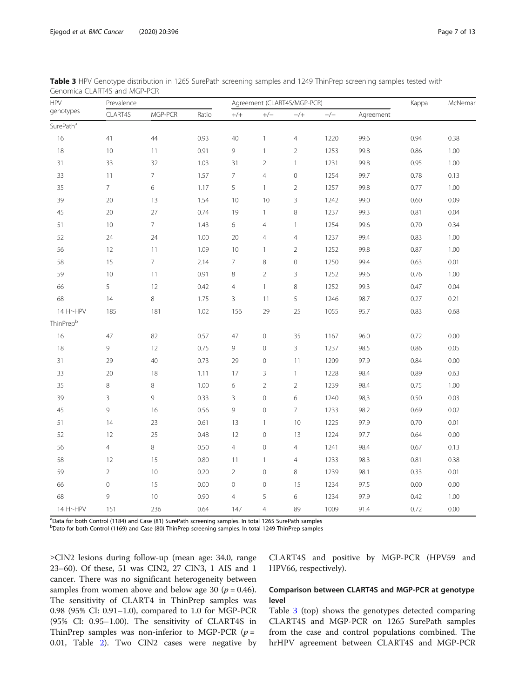| <b>HPV</b>            | Prevalence     |                |       | Agreement (CLART4S/MGP-PCR) |                |                     |       | Kappa     | McNemar |      |
|-----------------------|----------------|----------------|-------|-----------------------------|----------------|---------------------|-------|-----------|---------|------|
| genotypes             | CLART4S        | MGP-PCR        | Ratio | $^{+/+}$                    | $+/-$          | $-/+$               | $-/-$ | Agreement |         |      |
| SurePath <sup>a</sup> |                |                |       |                             |                |                     |       |           |         |      |
| 16                    | 41             | 44             | 0.93  | 40                          | $\mathbf{1}$   | $\overline{4}$      | 1220  | 99.6      | 0.94    | 0.38 |
| 18                    | 10             | 11             | 0.91  | 9                           | $\mathbf{1}$   | $\sqrt{2}$          | 1253  | 99.8      | 0.86    | 1.00 |
| 31                    | 33             | 32             | 1.03  | 31                          | $\overline{2}$ | $\mathbf{1}$        | 1231  | 99.8      | 0.95    | 1.00 |
| 33                    | 11             | $\overline{7}$ | 1.57  | $\overline{7}$              | $\overline{4}$ | $\mathsf O$         | 1254  | 99.7      | 0.78    | 0.13 |
| 35                    | $\bar{7}$      | 6              | 1.17  | 5                           | $\mathbf{1}$   | $\sqrt{2}$          | 1257  | 99.8      | 0.77    | 1.00 |
| 39                    | 20             | 13             | 1.54  | 10                          | 10             | $\mathsf 3$         | 1242  | 99.0      | 0.60    | 0.09 |
| 45                    | 20             | 27             | 0.74  | 19                          | $\mathbf{1}$   | $\,8\,$             | 1237  | 99.3      | 0.81    | 0.04 |
| 51                    | $10$           | $\overline{7}$ | 1.43  | $\epsilon$                  | $\overline{4}$ | $\mathbf{1}$        | 1254  | 99.6      | 0.70    | 0.34 |
| 52                    | 24             | 24             | 1.00  | 20                          | $\overline{4}$ | $\overline{4}$      | 1237  | 99.4      | 0.83    | 1.00 |
| 56                    | 12             | 11             | 1.09  | 10                          | $\mathbf{1}$   | $\overline{2}$      | 1252  | 99.8      | 0.87    | 1.00 |
| 58                    | 15             | $\overline{7}$ | 2.14  | $\overline{7}$              | 8              | $\mathsf{O}\xspace$ | 1250  | 99.4      | 0.63    | 0.01 |
| 59                    | 10             | 11             | 0.91  | $\,8$                       | $\overline{2}$ | 3                   | 1252  | 99.6      | 0.76    | 1.00 |
| 66                    | 5              | 12             | 0.42  | $\overline{4}$              | $\mathbf{1}$   | $\,8\,$             | 1252  | 99.3      | 0.47    | 0.04 |
| 68                    | 14             | 8              | 1.75  | 3                           | 11             | 5                   | 1246  | 98.7      | 0.27    | 0.21 |
| 14 Hr-HPV             | 185            | 181            | 1.02  | 156                         | 29             | 25                  | 1055  | 95.7      | 0.83    | 0.68 |
| ThinPrep <sup>b</sup> |                |                |       |                             |                |                     |       |           |         |      |
| 16                    | 47             | 82             | 0.57  | 47                          | $\mathbf 0$    | 35                  | 1167  | 96.0      | 0.72    | 0.00 |
| 18                    | 9              | 12             | 0.75  | 9                           | $\mathbf 0$    | $\mathsf{3}$        | 1237  | 98.5      | 0.86    | 0.05 |
| 31                    | 29             | 40             | 0.73  | 29                          | $\mathbf 0$    | 11                  | 1209  | 97.9      | 0.84    | 0.00 |
| 33                    | 20             | 18             | 1.11  | 17                          | 3              | $\mathbf{1}$        | 1228  | 98.4      | 0.89    | 0.63 |
| 35                    | $\,8\,$        | 8              | 1.00  | 6                           | $\overline{2}$ | $\overline{2}$      | 1239  | 98.4      | 0.75    | 1.00 |
| 39                    | $\overline{3}$ | 9              | 0.33  | 3                           | $\mathbf 0$    | $\epsilon$          | 1240  | 98,3      | 0.50    | 0.03 |
| 45                    | 9              | 16             | 0.56  | $\mathsf 9$                 | $\mathbf 0$    | $\overline{7}$      | 1233  | 98.2      | 0.69    | 0.02 |
| 51                    | 14             | 23             | 0.61  | 13                          | $\mathbf{1}$   | 10                  | 1225  | 97.9      | 0.70    | 0.01 |
| 52                    | 12             | 25             | 0.48  | 12                          | $\mathbf 0$    | 13                  | 1224  | 97.7      | 0.64    | 0.00 |
| 56                    | $\overline{4}$ | 8              | 0.50  | $\overline{4}$              | $\mathbf 0$    | $\overline{4}$      | 1241  | 98.4      | 0.67    | 0.13 |
| 58                    | 12             | 15             | 0.80  | 11                          | $\mathbf{1}$   | $\overline{4}$      | 1233  | 98.3      | 0.81    | 0.38 |
| 59                    | $\overline{2}$ | 10             | 0.20  | $\overline{2}$              | $\mathbf 0$    | $\,8\,$             | 1239  | 98.1      | 0.33    | 0.01 |
| 66                    | $\mathbf 0$    | 15             | 0.00  | $\mathsf{O}\xspace$         | $\mathbf 0$    | 15                  | 1234  | 97.5      | 0.00    | 0.00 |
| 68                    | 9              | $10$           | 0.90  | 4                           | 5              | 6                   | 1234  | 97.9      | 0.42    | 1.00 |
| 14 Hr-HPV             | 151            | 236            | 0.64  | 147                         | $\overline{4}$ | 89                  | 1009  | 91.4      | 0.72    | 0.00 |

<span id="page-6-0"></span>

| Table 3 HPV Genotype distribution in 1265 SurePath screening samples and 1249 ThinPrep screening samples tested with |  |  |  |
|----------------------------------------------------------------------------------------------------------------------|--|--|--|
| Genomica CLART4S and MGP-PCR                                                                                         |  |  |  |

<sup>a</sup>Data for both Control (1184) and Case (81) SurePath screening samples. In total 1265 SurePath samples

<sup>b</sup>Dato for both Control (1169) and Case (80) ThinPrep screening samples. In total 1249 ThinPrep samples

≥CIN2 lesions during follow-up (mean age: 34.0, range 23–60). Of these, 51 was CIN2, 27 CIN3, 1 AIS and 1 cancer. There was no significant heterogeneity between samples from women above and below age 30 ( $p = 0.46$ ). The sensitivity of CLART4 in ThinPrep samples was 0.98 (95% CI: 0.91–1.0), compared to 1.0 for MGP-PCR (95% CI: 0.95–1.00). The sensitivity of CLART4S in ThinPrep samples was non-inferior to MGP-PCR  $(p =$ 0.01, Table [2](#page-5-0)). Two CIN2 cases were negative by CLART4S and positive by MGP-PCR (HPV59 and HPV66, respectively).

#### Comparison between CLART4S and MGP-PCR at genotype level

Table 3 (top) shows the genotypes detected comparing CLART4S and MGP-PCR on 1265 SurePath samples from the case and control populations combined. The hrHPV agreement between CLART4S and MGP-PCR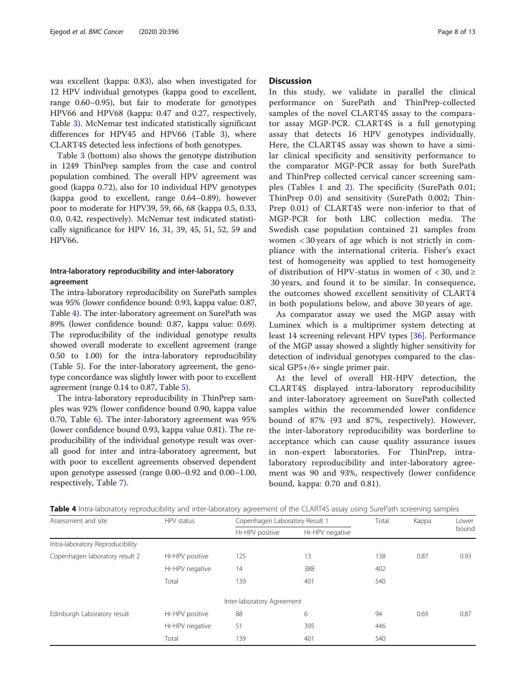was excellent (kappa: 0.83), also when investigated for 12 HPV individual genotypes (kappa good to excellent, range 0.60–0.95), but fair to moderate for genotypes HPV66 and HPV68 (kappa: 0.47 and 0.27, respectively, Table [3\)](#page-6-0). McNemar test indicated statistically significant differences for HPV45 and HPV66 (Table [3](#page-6-0)), where CLART4S detected less infections of both genotypes.

Table [3](#page-6-0) (bottom) also shows the genotype distribution in 1249 ThinPrep samples from the case and control population combined. The overall HPV agreement was good (kappa 0.72), also for 10 individual HPV genotypes (kappa good to excellent, range 0.64–0.89), however poor to moderate for HPV39, 59, 66, 68 (kappa 0.5, 0.33, 0.0, 0.42, respectively). McNemar test indicated statistically significance for HPV 16, 31, 39, 45, 51, 52, 59 and HPV66.

#### Intra-laboratory reproducibility and inter-laboratory agreement

The intra-laboratory reproducibility on SurePath samples was 95% (lower confidence bound: 0.93, kappa value: 0.87, Table 4). The inter-laboratory agreement on SurePath was 89% (lower confidence bound: 0.87, kappa value: 0.69). The reproducibility of the individual genotype results showed overall moderate to excellent agreement (range 0.50 to 1.00) for the intra-laboratory reproducibility (Table [5](#page-8-0)). For the inter-laboratory agreement, the genotype concordance was slightly lower with poor to excellent agreement (range 0.14 to 0.87, Table [5](#page-8-0)).

The intra-laboratory reproducibility in ThinPrep samples was 92% (lower confidence bound 0.90, kappa value 0.70, Table [6](#page-8-0)). The inter-laboratory agreement was 95% (lower confidence bound 0.93, kappa value 0.81). The reproducibility of the individual genotype result was overall good for inter and intra-laboratory agreement, but with poor to excellent agreements observed dependent upon genotype assessed (range 0.00–0.92 and 0.00–1.00, respectively, Table [7](#page-9-0)).

#### **Discussion**

In this study, we validate in parallel the clinical performance on SurePath and ThinPrep-collected samples of the novel CLART4S assay to the comparator assay MGP-PCR. CLART4S is a full genotyping assay that detects 16 HPV genotypes individually. Here, the CLART4S assay was shown to have a similar clinical specificity and sensitivity performance to the comparator MGP-PCR assay for both SurePath and ThinPrep collected cervical cancer screening samples (Tables [1](#page-5-0) and [2\)](#page-5-0). The specificity (SurePath 0.01; ThinPrep 0.0) and sensitivity (SurePath 0.002; Thin-Prep 0.01) of CLART4S were non-inferior to that of MGP-PCR for both LBC collection media. The Swedish case population contained 21 samples from women < 30 years of age which is not strictly in compliance with the international criteria. Fisher's exact test of homogeneity was applied to test homogeneity of distribution of HPV-status in women of  $\langle 30, \text{ and } \rangle$ 30 years, and found it to be similar. In consequence, the outcomes showed excellent sensitivity of CLART4 in both populations below, and above 30 years of age.

As comparator assay we used the MGP assay with Luminex which is a multiprimer system detecting at least 14 screening relevant HPV types [\[36\]](#page-12-0). Performance of the MGP assay showed a slightly higher sensitivity for detection of individual genotypes compared to the classical GP5+/6+ single primer pair.

At the level of overall HR-HPV detection, the CLART4S displayed intra-laboratory reproducibility and inter-laboratory agreement on SurePath collected samples within the recommended lower confidence bound of 87% (93 and 87%, respectively). However, the inter-laboratory reproducibility was borderline to acceptance which can cause quality assurance issues in non-expert laboratories. For ThinPrep, intralaboratory reproducibility and inter-laboratory agreement was 90 and 93%, respectively (lower confidence bound, kappa: 0.70 and 0.81).

| Assessment and site              | HPV status      | Copenhagen Laboratory Result 1     | Total | Kappa | Lower<br>bound |      |
|----------------------------------|-----------------|------------------------------------|-------|-------|----------------|------|
|                                  |                 | Hr-HPV negative<br>Hr-HPV positive |       |       |                |      |
| Intra-laboratory Reproducibility |                 |                                    |       |       |                |      |
| Copenhagen laboratory result 2   | Hr-HPV positive | 125                                | 13    | 138   | 0.87           | 0.93 |
|                                  | Hr-HPV negative | 14                                 | 388   | 402   |                |      |
|                                  | Total           | 139                                | 401   | 540   |                |      |
|                                  |                 | Inter-laboratory Agreement         |       |       |                |      |
| Edinburgh Laboratory result      | Hr-HPV positive | 88                                 | 6     | 94    | 0.69           | 0.87 |
|                                  | Hr-HPV negative | 51                                 | 395   | 446   |                |      |
|                                  | Total           | 139                                | 401   | 540   |                |      |

Table 4 Intra-laboratory reproducibility and inter-laboratory agreement of the CLART4S assay using SurePath screening samples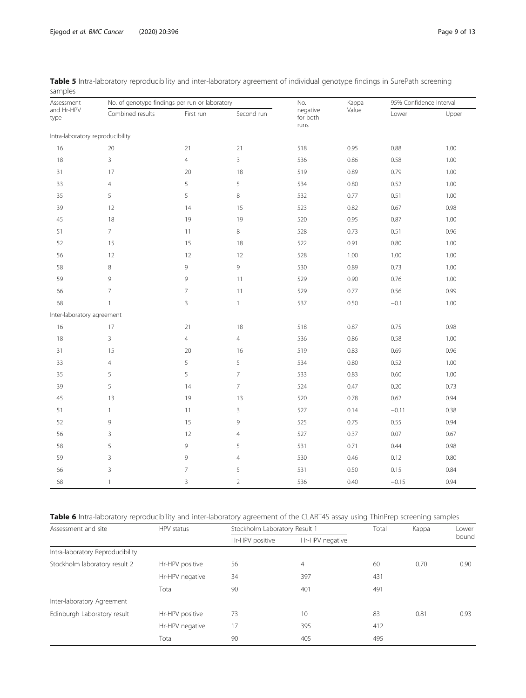| Assessment                       | No. of genotype findings per run or laboratory |                |                | No.                          | Kappa | 95% Confidence Interval |          |
|----------------------------------|------------------------------------------------|----------------|----------------|------------------------------|-------|-------------------------|----------|
| and Hr-HPV<br>type               | Combined results                               | First run      | Second run     | negative<br>for both<br>runs | Value | Lower                   | Upper    |
| Intra-laboratory reproducibility |                                                |                |                |                              |       |                         |          |
| 16                               | 20                                             | 21             | 21             | 518                          | 0.95  | 0.88                    | 1.00     |
| 18                               | 3                                              | $\overline{4}$ | $\mathbf{3}$   | 536                          | 0.86  | 0.58                    | 1.00     |
| 31                               | 17                                             | $20\,$         | 18             | 519                          | 0.89  | 0.79                    | 1.00     |
| 33                               | $\overline{4}$                                 | 5              | 5              | 534                          | 0.80  | 0.52                    | 1.00     |
| 35                               | 5                                              | 5              | 8              | 532                          | 0.77  | 0.51                    | 1.00     |
| 39                               | 12                                             | 14             | 15             | 523                          | 0.82  | 0.67                    | 0.98     |
| 45                               | 18                                             | 19             | 19             | 520                          | 0.95  | 0.87                    | 1.00     |
| 51                               | $\overline{7}$                                 | 11             | 8              | 528                          | 0.73  | 0.51                    | 0.96     |
| 52                               | 15                                             | 15             | 18             | 522                          | 0.91  | 0.80                    | 1.00     |
| 56                               | 12                                             | 12             | 12             | 528                          | 1.00  | 1.00                    | 1.00     |
| 58                               | $\,8\,$                                        | $\mathcal{G}$  | 9              | 530                          | 0.89  | 0.73                    | 1.00     |
| 59                               | 9                                              | 9              | 11             | 529                          | 0.90  | 0.76                    | 1.00     |
| 66                               | $\overline{7}$                                 | $\overline{7}$ | 11             | 529                          | 0.77  | 0.56                    | 0.99     |
| 68                               | $\mathbf{1}$                                   | $\mathsf{3}$   | $\mathbf{1}$   | 537                          | 0.50  | $-0.1$                  | $1.00\,$ |
| Inter-laboratory agreement       |                                                |                |                |                              |       |                         |          |
| 16                               | 17                                             | 21             | 18             | 518                          | 0.87  | 0.75                    | 0.98     |
| $18\,$                           | 3                                              | $\overline{4}$ | $\overline{4}$ | 536                          | 0.86  | 0.58                    | 1.00     |
| 31                               | 15                                             | 20             | 16             | 519                          | 0.83  | 0.69                    | 0.96     |
| 33                               | $\overline{4}$                                 | 5              | 5              | 534                          | 0.80  | 0.52                    | 1.00     |
| 35                               | 5                                              | 5              | 7              | 533                          | 0.83  | 0.60                    | 1.00     |
| 39                               | 5                                              | 14             | $\overline{7}$ | 524                          | 0.47  | 0.20                    | 0.73     |
| 45                               | 13                                             | 19             | 13             | 520                          | 0.78  | 0.62                    | 0.94     |
| 51                               | $\mathbf{1}$                                   | 11             | 3              | 527                          | 0.14  | $-0.11$                 | 0.38     |
| 52                               | 9                                              | 15             | 9              | 525                          | 0.75  | 0.55                    | 0.94     |
| 56                               | 3                                              | 12             | $\overline{4}$ | 527                          | 0.37  | 0.07                    | 0.67     |
| 58                               | 5                                              | 9              | 5              | 531                          | 0.71  | 0.44                    | 0.98     |
| 59                               | 3                                              | 9              | $\overline{4}$ | 530                          | 0.46  | 0.12                    | 0.80     |
| 66                               | 3                                              | $\overline{7}$ | 5              | 531                          | 0.50  | 0.15                    | 0.84     |
| 68                               | $\mathbf{1}$                                   | 3              | $\overline{2}$ | 536                          | 0.40  | $-0.15$                 | 0.94     |

<span id="page-8-0"></span>Table 5 Intra-laboratory reproducibility and inter-laboratory agreement of individual genotype findings in SurePath screening samples

#### Table 6 Intra-laboratory reproducibility and inter-laboratory agreement of the CLART4S assay using ThinPrep screening samples

| Assessment and site              | HPV status      |                 | Stockholm Laboratory Result 1 |     |      | Lower |
|----------------------------------|-----------------|-----------------|-------------------------------|-----|------|-------|
|                                  |                 | Hr-HPV positive | Hr-HPV negative               |     |      | bound |
| Intra-laboratory Reproducibility |                 |                 |                               |     |      |       |
| Stockholm laboratory result 2    | Hr-HPV positive | 56              | $\overline{4}$                | 60  | 0.70 | 0.90  |
|                                  | Hr-HPV negative | 34              | 397                           | 431 |      |       |
|                                  | Total           | 90              | 401                           | 491 |      |       |
| Inter-laboratory Agreement       |                 |                 |                               |     |      |       |
| Edinburgh Laboratory result      | Hr-HPV positive | 73              | 10                            | 83  | 0.81 | 0.93  |
|                                  | Hr-HPV negative | 17              | 395                           | 412 |      |       |
|                                  | Total           | 90              | 405                           | 495 |      |       |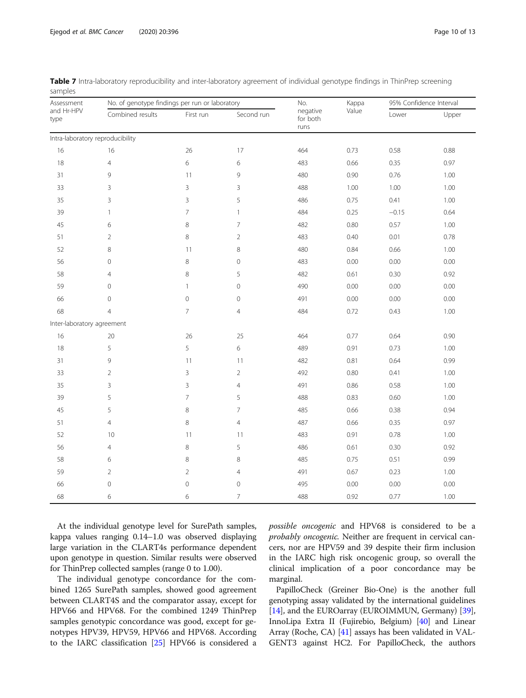| Assessment                       | No. of genotype findings per run or laboratory |                     |                     | No.                          | Kappa | 95% Confidence Interval |       |
|----------------------------------|------------------------------------------------|---------------------|---------------------|------------------------------|-------|-------------------------|-------|
| and Hr-HPV<br>type               | Combined results                               | First run           | Second run          | negative<br>for both<br>runs | Value | Lower                   | Upper |
| Intra-laboratory reproducibility |                                                |                     |                     |                              |       |                         |       |
| 16                               | 16                                             | 26                  | 17                  | 464                          | 0.73  | 0.58                    | 0.88  |
| 18                               | $\overline{4}$                                 | 6                   | 6                   | 483                          | 0.66  | 0.35                    | 0.97  |
| 31                               | 9                                              | 11                  | 9                   | 480                          | 0.90  | 0.76                    | 1.00  |
| 33                               | 3                                              | $\mathsf 3$         | 3                   | 488                          | 1.00  | 1.00                    | 1.00  |
| 35                               | 3                                              | 3                   | 5                   | 486                          | 0.75  | 0.41                    | 1.00  |
| 39                               | 1                                              | $\overline{7}$      | $\mathbf{1}$        | 484                          | 0.25  | $-0.15$                 | 0.64  |
| 45                               | 6                                              | 8                   | $\overline{7}$      | 482                          | 0.80  | 0.57                    | 1.00  |
| 51                               | $\overline{2}$                                 | 8                   | $\overline{2}$      | 483                          | 0.40  | 0.01                    | 0.78  |
| 52                               | 8                                              | 11                  | 8                   | 480                          | 0.84  | 0.66                    | 1.00  |
| 56                               | $\circ$                                        | $\,8\,$             | $\mathbf 0$         | 483                          | 0.00  | 0.00                    | 0.00  |
| 58                               | $\overline{4}$                                 | 8                   | 5                   | 482                          | 0.61  | 0.30                    | 0.92  |
| 59                               | $\mathbf 0$                                    | $\mathbf{1}$        | $\mathsf{O}\xspace$ | 490                          | 0.00  | 0.00                    | 0.00  |
| 66                               | $\mathbf 0$                                    | $\mathsf{O}\xspace$ | $\mathbf 0$         | 491                          | 0.00  | 0.00                    | 0.00  |
| 68                               | $\overline{4}$                                 | $\overline{7}$      | $\overline{4}$      | 484                          | 0.72  | 0.43                    | 1.00  |
| Inter-laboratory agreement       |                                                |                     |                     |                              |       |                         |       |
| 16                               | 20                                             | 26                  | 25                  | 464                          | 0.77  | 0.64                    | 0.90  |
| 18                               | 5                                              | 5                   | 6                   | 489                          | 0.91  | 0.73                    | 1.00  |
| 31                               | 9                                              | 11                  | 11                  | 482                          | 0.81  | 0.64                    | 0.99  |
| 33                               | $\overline{2}$                                 | 3                   | $\overline{2}$      | 492                          | 0.80  | 0.41                    | 1.00  |
| 35                               | 3                                              | $\mathsf 3$         | $\overline{4}$      | 491                          | 0.86  | 0.58                    | 1.00  |
| 39                               | 5                                              | $\overline{7}$      | 5                   | 488                          | 0.83  | 0.60                    | 1.00  |
| 45                               | 5                                              | 8                   | $\overline{7}$      | 485                          | 0.66  | 0.38                    | 0.94  |
| 51                               | $\overline{4}$                                 | 8                   | $\overline{4}$      | 487                          | 0.66  | 0.35                    | 0.97  |
| 52                               | 10                                             | 11                  | 11                  | 483                          | 0.91  | 0.78                    | 1.00  |
| 56                               | $\overline{4}$                                 | $\,8\,$             | 5                   | 486                          | 0.61  | 0.30                    | 0.92  |
| 58                               | 6                                              | 8                   | 8                   | 485                          | 0.75  | 0.51                    | 0.99  |
| 59                               | $\overline{2}$                                 | $\overline{2}$      | $\overline{4}$      | 491                          | 0.67  | 0.23                    | 1.00  |
| 66                               | $\circ$                                        | $\mathsf O$         | $\mathbf 0$         | 495                          | 0.00  | 0.00                    | 0.00  |
| 68                               | 6                                              | 6                   | $\overline{7}$      | 488                          | 0.92  | 0.77                    | 1.00  |

<span id="page-9-0"></span>Table 7 Intra-laboratory reproducibility and inter-laboratory agreement of individual genotype findings in ThinPrep screening samples

At the individual genotype level for SurePath samples, kappa values ranging 0.14–1.0 was observed displaying large variation in the CLART4s performance dependent upon genotype in question. Similar results were observed for ThinPrep collected samples (range 0 to 1.00).

The individual genotype concordance for the combined 1265 SurePath samples, showed good agreement between CLART4S and the comparator assay, except for HPV66 and HPV68. For the combined 1249 ThinPrep samples genotypic concordance was good, except for genotypes HPV39, HPV59, HPV66 and HPV68. According to the IARC classification [\[25](#page-12-0)] HPV66 is considered a possible oncogenic and HPV68 is considered to be a probably oncogenic. Neither are frequent in cervical cancers, nor are HPV59 and 39 despite their firm inclusion in the IARC high risk oncogenic group, so overall the clinical implication of a poor concordance may be marginal.

PapilloCheck (Greiner Bio-One) is the another full genotyping assay validated by the international guidelines [[14](#page-12-0)], and the EUROarray (EUROIMMUN, Germany) [[39](#page-12-0)], InnoLipa Extra II (Fujirebio, Belgium) [[40](#page-12-0)] and Linear Array (Roche, CA) [[41](#page-12-0)] assays has been validated in VAL-GENT3 against HC2. For PapilloCheck, the authors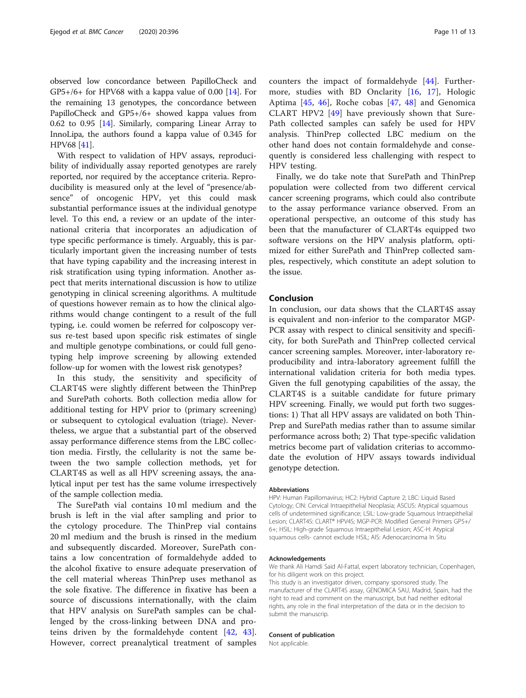observed low concordance between PapilloCheck and  $GP5+/6+$  for HPV68 with a kappa value of 0.00 [[14](#page-12-0)]. For the remaining 13 genotypes, the concordance between PapilloCheck and GP5+/6+ showed kappa values from 0.62 to 0.95 [\[14](#page-12-0)]. Similarly, comparing Linear Array to InnoLipa, the authors found a kappa value of 0.345 for HPV68 [[41](#page-12-0)].

With respect to validation of HPV assays, reproducibility of individually assay reported genotypes are rarely reported, nor required by the acceptance criteria. Reproducibility is measured only at the level of "presence/absence" of oncogenic HPV, yet this could mask substantial performance issues at the individual genotype level. To this end, a review or an update of the international criteria that incorporates an adjudication of type specific performance is timely. Arguably, this is particularly important given the increasing number of tests that have typing capability and the increasing interest in risk stratification using typing information. Another aspect that merits international discussion is how to utilize genotyping in clinical screening algorithms. A multitude of questions however remain as to how the clinical algorithms would change contingent to a result of the full typing, i.e. could women be referred for colposcopy versus re-test based upon specific risk estimates of single and multiple genotype combinations, or could full genotyping help improve screening by allowing extended follow-up for women with the lowest risk genotypes?

In this study, the sensitivity and specificity of CLART4S were slightly different between the ThinPrep and SurePath cohorts. Both collection media allow for additional testing for HPV prior to (primary screening) or subsequent to cytological evaluation (triage). Nevertheless, we argue that a substantial part of the observed assay performance difference stems from the LBC collection media. Firstly, the cellularity is not the same between the two sample collection methods, yet for CLART4S as well as all HPV screening assays, the analytical input per test has the same volume irrespectively of the sample collection media.

The SurePath vial contains 10 ml medium and the brush is left in the vial after sampling and prior to the cytology procedure. The ThinPrep vial contains 20 ml medium and the brush is rinsed in the medium and subsequently discarded. Moreover, SurePath contains a low concentration of formaldehyde added to the alcohol fixative to ensure adequate preservation of the cell material whereas ThinPrep uses methanol as the sole fixative. The difference in fixative has been a source of discussions internationally, with the claim that HPV analysis on SurePath samples can be challenged by the cross-linking between DNA and proteins driven by the formaldehyde content [\[42](#page-12-0), [43](#page-12-0)]. However, correct preanalytical treatment of samples counters the impact of formaldehyde [[44\]](#page-12-0). Furthermore, studies with BD Onclarity [[16,](#page-12-0) [17\]](#page-12-0), Hologic Aptima [[45,](#page-12-0) [46](#page-12-0)], Roche cobas [[47,](#page-12-0) [48\]](#page-12-0) and Genomica CLART HPV2 [[49\]](#page-12-0) have previously shown that Sure-Path collected samples can safely be used for HPV analysis. ThinPrep collected LBC medium on the other hand does not contain formaldehyde and consequently is considered less challenging with respect to HPV testing.

Finally, we do take note that SurePath and ThinPrep population were collected from two different cervical cancer screening programs, which could also contribute to the assay performance variance observed. From an operational perspective, an outcome of this study has been that the manufacturer of CLART4s equipped two software versions on the HPV analysis platform, optimized for either SurePath and ThinPrep collected samples, respectively, which constitute an adept solution to the issue.

#### Conclusion

In conclusion, our data shows that the CLART4S assay is equivalent and non-inferior to the comparator MGP-PCR assay with respect to clinical sensitivity and specificity, for both SurePath and ThinPrep collected cervical cancer screening samples. Moreover, inter-laboratory reproducibility and intra-laboratory agreement fulfill the international validation criteria for both media types. Given the full genotyping capabilities of the assay, the CLART4S is a suitable candidate for future primary HPV screening. Finally, we would put forth two suggestions: 1) That all HPV assays are validated on both Thin-Prep and SurePath medias rather than to assume similar performance across both; 2) That type-specific validation metrics become part of validation criterias to accommodate the evolution of HPV assays towards individual genotype detection.

#### **Abbreviations**

HPV: Human Papillomavirus; HC2: Hybrid Capture 2; LBC: Liquid Based Cytology; CIN: Cervical Intraepithelial Neoplasia; ASCUS: Atypical squamous cells of undetermined significance; LSIL: Low-grade Squamous Intraepithelial Lesion; CLART4S: CLART® HPV4S; MGP-PCR: Modified General Primers GP5+/ 6+; HSIL: High-grade Squamous Intraepithelial Lesion; ASC-H: Atypical squamous cells- cannot exclude HSIL; AIS: Adenocarcinoma In Situ

#### Acknowledgements

We thank Ali Hamdi Said Al-Fattal, expert laboratory technician, Copenhagen, for his diligent work on this project.

This study is an investigator driven, company sponsored study. The manufacturer of the CLART4S assay, GENOMICA SAU, Madrid, Spain, had the right to read and comment on the manuscript, but had neither editorial rights, any role in the final interpretation of the data or in the decision to submit the manuscrip.

#### Consent of publication

Not applicable.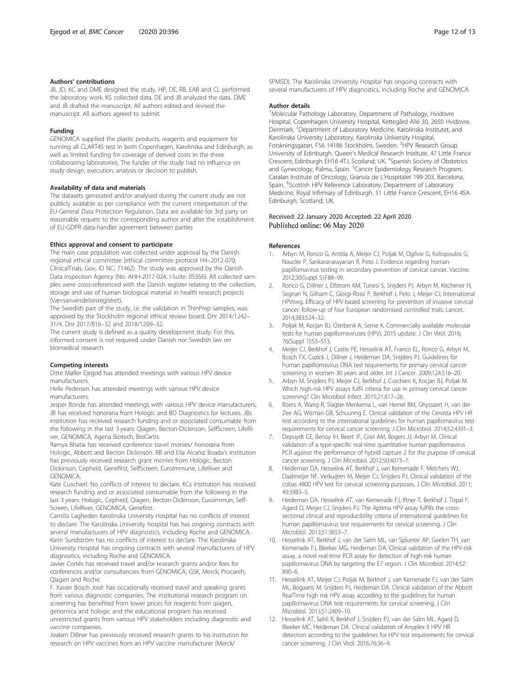#### <span id="page-11-0"></span>Authors' contributions

JB, JD, KC and DME designed the study. HP, DE, RB, EAB and CL performed the laboratory work. KS collected data. DE and JB analyzed the data. DME and JB drafted the manuscript. All authors edited and revised the manuscript. All authors agreed to submit.

#### Funding

GENOMICA supplied the plastic products, reagents and equipment for running all CLART4S test in both Copenhagen, Karolinska and Edinburgh, as well as limited funding for coverage of derived costs in the three collaborating laboratories. The funder of the study had no influence on study design, execution, analysis or decision to publish.

#### Availability of data and materials

The datasets generated and/or analysed during the current study are not publicly available as per compliance with the current interpretation of the EU-General Data Protection Regulation. Data are available for 3rd party on reasonable request to the corresponding author and after the establishment of EU-GDPR data-handler agreement between parties

#### Ethics approval and consent to participate

The main case population was collected under approval by the Danish regional ethical committee (ethical committee protocol H4–2012-070; ClinicalTrials. Gov, ID NC; 71462). The study was approved by the Danish Data inspection Agency (No. AHH-2017-024, I-Suite: 05356). All collected samples were cross-referenced with the Danish register relating to the collection, storage and use of human biological material in health research projects (Vævsanvendelsesregistret).

The Swedish part of the study, i.e. the validation in ThinPrep samples, was approved by the Stockholm regional ethical review board, Dnr 2014/1242– 31/4, Dnr 2017/816–32 and 2018/1209–32.

The current study is defined as a quality development study. For this, informed consent is not required under Danish nor Swedish law on biomedical research.

#### Competing interests

Ditte Møller Ejegod has attended meetings with various HPV device manufacturers.

Helle Pedersen has attended meetings with various HPV device manufacturers.

Jesper Bonde has attended meetings with various HPV device manufacturers. JB has received honoraria from Hologic and BD Diagnostics for lectures. JBs institution has received research funding and or associated consumable from the following in the last 3 years: Qiagen, Becton-Dickinson, SelfScreen, LifeRiver, GENOMICA, Agena Biotech, BioCartis.

Ramya Bhatia has received conference travel monies/ honoraria from Hologic, Abbott and Becton Dickinson. RB and Elia Alcañiz Boada's institution has previously received research grant monies from Hologic, Becton Dickinson, Cepheid, Genefirst, SelfScreen, EuroImmune, LifeRiver and GENOMICA.

Kate Cuschieri: No conflicts of interest to declare, KCs institution has received research funding and or associated consumable from the following in the last 3 years: Hologic, Cepheid, Qiagen, Becton-Dickinson, Euroimmun, Self-Screen, LifeRiver, GENOMICA, Genefirst.

Camilla Lagheden Karolinska University Hospital has no conflicts of interest to declare. The Karolinska University hospital has has ongoing contracts with several manufacturers of HPV diagnostics, including Roche and GENOMICA. Karin Sundström has no conflicts of interest to declare. The Karolinska University Hospital has ongoing contracts with several manufacturers of HPV

diagnostics, including Roche and GENOMICA. Javier Cortés has received travel and/or research grants and/or fees for

conferences and/or consultancies from GENOMICA, GSK, Merck, Procareh, Qiagen and Roche.

F. Xavier Bosch Josë: has occasionally received travel and speaking grants from various diagnostic companies. The institutional research program on screening has benefited from lower prices for reagents from qiagen, genomica and hologic and the educational program has received unrestricted grants from various HPV stakeholders including diagnostic and vaccine companies.

Joakim Dillner has previously received research grants to his institution for research on HPV vaccines from an HPV vaccine manufacturer (Merck/

SPMSD). The Karolinska University Hospital has ongoing contracts with several manufacturers of HPV diagnostics, including Roche and GENOMICA.

#### Author details

<sup>1</sup>Molecular Pathology Laboratory, Department of Pathology, Hvidovre Hospital, Copenhagen University Hospital, Kettegård Allé 30, 2650 Hvidovre, Denmark. <sup>2</sup>Department of Laboratory Medicine, Karolinska Institutet, and Karolinska University Laboratory, Karolinska University Hospital, Forskningsgatan, F56 14186 Stockholm, Sweden. <sup>3</sup>HPV Research Group, University of Edinburgh, Queen's Medical Research Institute, 47 Little France Crescent, Edinburgh EH16 4TJ, Scotland, UK. <sup>4</sup>Spanish Society of Obstetrics and Gynecology, Palma, Spain. <sup>5</sup>Cancer Epidemiology Research Program Catalan Institute of Oncology, Granvia de L'Hospitalet 199-203, Barcelona, Spain. <sup>6</sup>Scottish HPV Reference Laboratory, Department of Laboratory Medicine, Royal Infirmary of Edinburgh, 51 Little France Crescent, EH16 4SA Edinburgh, Scotland, UK.

#### Received: 22 January 2020 Accepted: 22 April 2020 Published online: 06 May 2020

#### References

- 1. Arbyn M, Ronco G, Anttila A, Meijer CJ, Poljak M, Ogilvie G, Koliopoulos G, Naucler P, Sankaranarayanan R, Peto J. Evidence regarding human papillomavirus testing in secondary prevention of cervical cancer. Vaccine. 2012;30(Suppl 5):F88–99.
- 2. Ronco G, Dillner J, Elfstrom KM, Tunesi S, Snijders PJ, Arbyn M, Kitchener H, Segnan N, Gilham C, Giorgi-Rossi P, Berkhof J, Peto J, Meijer CJ, International HPVswg. Efficacy of HPV-based screening for prevention of invasive cervical cancer: follow-up of four European randomised controlled trials. Lancet. 2014;383:524–32.
- 3. Poljak M, Kocjan BJ, Ostrbenk A, Seme K. Commercially available molecular tests for human papillomaviruses (HPV): 2015 update. J Clin Virol. 2016; 76(Suppl 1):S3–S13.
- 4. Meijer CJ, Berkhof J, Castle PE, Hesselink AT, Franco EL, Ronco G, Arbyn M, Bosch FX, Cuzick J, Dillner J, Heideman DA, Snijders PJ. Guidelines for human papillomavirus DNA test requirements for primary cervical cancer screening in women 30 years and older. Int J Cancer. 2009;124:516–20.
- 5. Arbyn M, Snijders PJ, Meijer CJ, Berkhof J, Cuschieri K, Kocjan BJ, Poljak M. Which high-risk HPV assays fulfil criteria for use in primary cervical cancer screening? Clin Microbiol Infect. 2015;21:817–26.
- 6. Boers A, Wang R, Slagter-Menkema L, van Hemel BM, Ghyssaert H, van der Zee AG, Wisman GB, Schuuring E. Clinical validation of the Cervista HPV HR test according to the international guidelines for human papillomavirus test requirements for cervical cancer screening. J Clin Microbiol. 2014;52:4391–3.
- 7. Depuydt CE, Benoy IH, Beert JF, Criel AM, Bogers JJ, Arbyn M. Clinical validation of a type-specific real-time quantitative human papillomavirus PCR against the performance of hybrid capture 2 for the purpose of cervical cancer screening. J Clin Microbiol. 2012;50:4073–7.
- 8. Heideman DA, Hesselink AT, Berkhof J, van Kemenade F, Melchers WJ, Daalmeijer NF, Verkuijten M, Meijer CJ, Snijders PJ. Clinical validation of the cobas 4800 HPV test for cervical screening purposes. J Clin Microbiol. 2011; 49:3983–5.
- 9. Heideman DA, Hesselink AT, van Kemenade FJ, Iftner T, Berkhof J, Topal F, Agard D, Meijer CJ, Snijders PJ. The Aptima HPV assay fulfills the crosssectional clinical and reproducibility criteria of international guidelines for human papillomavirus test requirements for cervical screening. J Clin Microbiol. 2013;51:3653–7.
- 10. Hesselink AT, Berkhof J, van der Salm ML, van Splunter AP, Geelen TH, van Kemenade FJ, Bleeker MG, Heideman DA. Clinical validation of the HPV-risk assay, a novel real-time PCR assay for detection of high-risk human papillomavirus DNA by targeting the E7 region. J Clin Microbiol. 2014;52: 890–6.
- 11. Hesselink AT, Meijer CJ, Poljak M, Berkhof J, van Kemenade FJ, van der Salm ML, Bogaarts M, Snijders PJ, Heideman DA. Clinical validation of the Abbott RealTime high risk HPV assay according to the guidelines for human papillomavirus DNA test requirements for cervical screening. J Clin Microbiol. 2013;51:2409–10.
- 12. Hesselink AT, Sahli R, Berkhof J, Snijders PJ, van der Salm ML, Agard D, Bleeker MC, Heideman DA. Clinical validation of Anyplex II HPV HR detection according to the guidelines for HPV test requirements for cervical cancer screening. J Clin Virol. 2016;76:36–9.